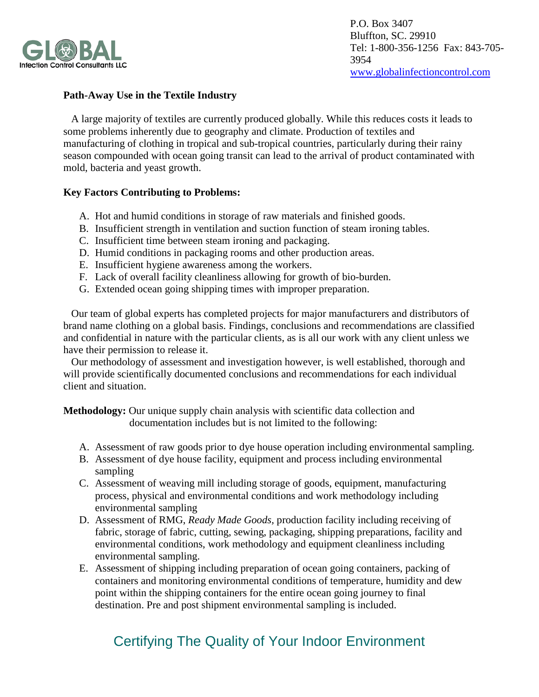

P.O. Box 3407 Bluffton, SC. 29910 Tel: 1-800-356-1256 Fax: 843-705- 3954 [www.globalinfectioncontrol.com](http://www.globalinfectioncontrol.com/)

## **Path-Away Use in the Textile Industry**

 A large majority of textiles are currently produced globally. While this reduces costs it leads to some problems inherently due to geography and climate. Production of textiles and manufacturing of clothing in tropical and sub-tropical countries, particularly during their rainy season compounded with ocean going transit can lead to the arrival of product contaminated with mold, bacteria and yeast growth.

## **Key Factors Contributing to Problems:**

- A. Hot and humid conditions in storage of raw materials and finished goods.
- B. Insufficient strength in ventilation and suction function of steam ironing tables.
- C. Insufficient time between steam ironing and packaging.
- D. Humid conditions in packaging rooms and other production areas.
- E. Insufficient hygiene awareness among the workers.
- F. Lack of overall facility cleanliness allowing for growth of bio-burden.
- G. Extended ocean going shipping times with improper preparation.

 Our team of global experts has completed projects for major manufacturers and distributors of brand name clothing on a global basis. Findings, conclusions and recommendations are classified and confidential in nature with the particular clients, as is all our work with any client unless we have their permission to release it.

 Our methodology of assessment and investigation however, is well established, thorough and will provide scientifically documented conclusions and recommendations for each individual client and situation.

**Methodology:** Our unique supply chain analysis with scientific data collection and documentation includes but is not limited to the following:

- A. Assessment of raw goods prior to dye house operation including environmental sampling.
- B. Assessment of dye house facility, equipment and process including environmental sampling
- C. Assessment of weaving mill including storage of goods, equipment, manufacturing process, physical and environmental conditions and work methodology including environmental sampling
- D. Assessment of RMG, *Ready Made Goods,* production facility including receiving of fabric, storage of fabric, cutting, sewing, packaging, shipping preparations, facility and environmental conditions, work methodology and equipment cleanliness including environmental sampling.
- E. Assessment of shipping including preparation of ocean going containers, packing of containers and monitoring environmental conditions of temperature, humidity and dew point within the shipping containers for the entire ocean going journey to final destination. Pre and post shipment environmental sampling is included.

## Certifying The Quality of Your Indoor Environment